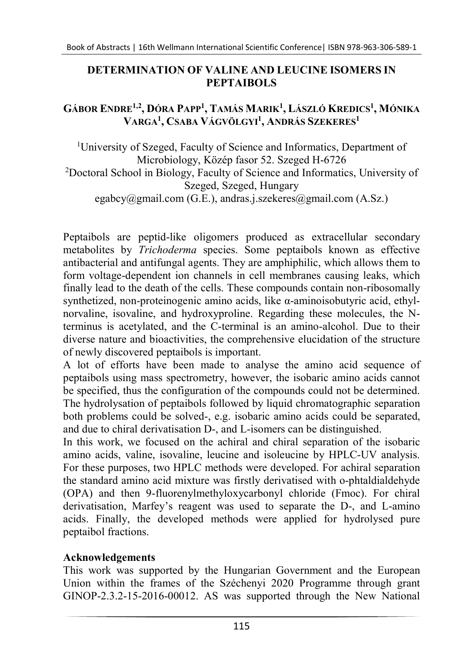## DETERMINATION OF VALINE AND LEUCINE ISOMERS IN PEPTAIBOLS

## GÁBOR ENDRE<sup>1,2</sup>, DÓRA PAPP<sup>1</sup>, TAMÁS MARIK<sup>1</sup>, LÁSZLÓ KREDICS<sup>1</sup>, MÓNIKA Varga<sup>1</sup>, Csaba Vágvölgyi<sup>1</sup>, András Szekeres<sup>1</sup>

<sup>1</sup>University of Szeged, Faculty of Science and Informatics, Department of Microbiology, Közép fasor 52. Szeged H-6726 <sup>2</sup>Doctoral School in Biology, Faculty of Science and Informatics, University of Szeged, Szeged, Hungary egabcy@gmail.com (G.E.), andras.j.szekeres@gmail.com (A.Sz.)

Peptaibols are peptid-like oligomers produced as extracellular secondary metabolites by Trichoderma species. Some peptaibols known as effective antibacterial and antifungal agents. They are amphiphilic, which allows them to form voltage-dependent ion channels in cell membranes causing leaks, which finally lead to the death of the cells. These compounds contain non-ribosomally synthetized, non-proteinogenic amino acids, like α-aminoisobutyric acid, ethylnorvaline, isovaline, and hydroxyproline. Regarding these molecules, the Nterminus is acetylated, and the C-terminal is an amino-alcohol. Due to their diverse nature and bioactivities, the comprehensive elucidation of the structure of newly discovered peptaibols is important.

A lot of efforts have been made to analyse the amino acid sequence of peptaibols using mass spectrometry, however, the isobaric amino acids cannot be specified, thus the configuration of the compounds could not be determined. The hydrolysation of peptaibols followed by liquid chromatographic separation both problems could be solved-, e.g. isobaric amino acids could be separated, and due to chiral derivatisation D-, and L-isomers can be distinguished.

In this work, we focused on the achiral and chiral separation of the isobaric amino acids, valine, isovaline, leucine and isoleucine by HPLC-UV analysis. For these purposes, two HPLC methods were developed. For achiral separation the standard amino acid mixture was firstly derivatised with o-phtaldialdehyde (OPA) and then 9-fluorenylmethyloxycarbonyl chloride (Fmoc). For chiral derivatisation, Marfey's reagent was used to separate the D-, and L-amino acids. Finally, the developed methods were applied for hydrolysed pure peptaibol fractions.

## Acknowledgements

This work was supported by the Hungarian Government and the European Union within the frames of the Széchenyi 2020 Programme through grant GINOP-2.3.2-15-2016-00012. AS was supported through the New National